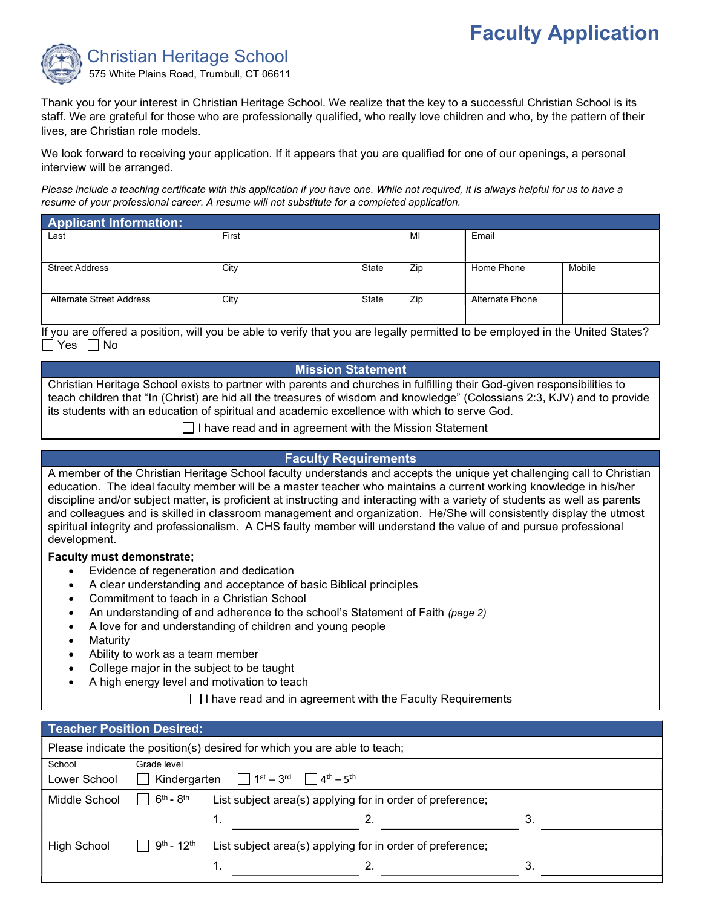# Faculty Application



Thank you for your interest in Christian Heritage School. We realize that the key to a successful Christian School is its staff. We are grateful for those who are professionally qualified, who really love children and who, by the pattern of their lives, are Christian role models.

We look forward to receiving your application. If it appears that you are qualified for one of our openings, a personal interview will be arranged.

Please include a teaching certificate with this application if you have one. While not required, it is always helpful for us to have a resume of your professional career. A resume will not substitute for a completed application.

| <b>Applicant Information:</b>   |       |       |     |                 |        |
|---------------------------------|-------|-------|-----|-----------------|--------|
| Last                            | First |       | MI  | Email           |        |
|                                 |       |       |     |                 |        |
| <b>Street Address</b>           | City  | State | Zip | Home Phone      | Mobile |
|                                 |       |       |     |                 |        |
| <b>Alternate Street Address</b> | City  | State | Zip | Alternate Phone |        |
|                                 |       |       |     |                 |        |

If you are offered a position, will you be able to verify that you are legally permitted to be employed in the United States?  $\Box$  Yes  $\Box$  No

#### Mission Statement

Christian Heritage School exists to partner with parents and churches in fulfilling their God-given responsibilities to teach children that "In (Christ) are hid all the treasures of wisdom and knowledge" (Colossians 2:3, KJV) and to provide its students with an education of spiritual and academic excellence with which to serve God.

 $\Box$  I have read and in agreement with the Mission Statement

#### Faculty Requirements

A member of the Christian Heritage School faculty understands and accepts the unique yet challenging call to Christian education. The ideal faculty member will be a master teacher who maintains a current working knowledge in his/her discipline and/or subject matter, is proficient at instructing and interacting with a variety of students as well as parents and colleagues and is skilled in classroom management and organization. He/She will consistently display the utmost spiritual integrity and professionalism. A CHS faulty member will understand the value of and pursue professional development.

#### Faculty must demonstrate;

- Evidence of regeneration and dedication
- A clear understanding and acceptance of basic Biblical principles
- Commitment to teach in a Christian School
- An understanding of and adherence to the school's Statement of Faith (page 2)
- A love for and understanding of children and young people
- **Maturity**
- Ability to work as a team member
- College major in the subject to be taught
- A high energy level and motivation to teach

 $\Box$  I have read and in agreement with the Faculty Requirements

| Teacher Position Desired: |                             |                                                                                                |    |
|---------------------------|-----------------------------|------------------------------------------------------------------------------------------------|----|
|                           |                             | Please indicate the position(s) desired for which you are able to teach;                       |    |
| School                    | Grade level                 |                                                                                                |    |
| Lower School              |                             | Kindergarten $\Box$ 1 <sup>st</sup> – 3 <sup>rd</sup> $\Box$ 4 <sup>th</sup> – 5 <sup>th</sup> |    |
| Middle School             | $6th - 8th$<br>$\mathbf{L}$ | List subject area(s) applying for in order of preference;                                      |    |
|                           |                             | 1.                                                                                             | 3. |
| <b>High School</b>        | $9^{th}$ - $12^{th}$        | List subject area(s) applying for in order of preference;                                      |    |
|                           |                             |                                                                                                | 3  |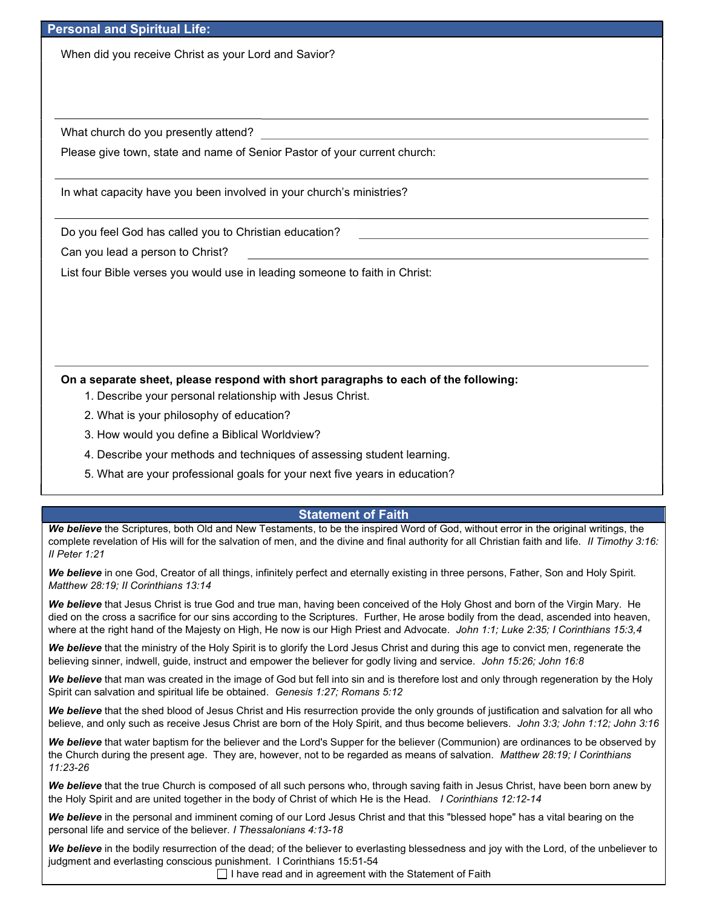#### Personal and Spiritual Life:

When did you receive Christ as your Lord and Savior?

What church do you presently attend?

Please give town, state and name of Senior Pastor of your current church:

In what capacity have you been involved in your church's ministries?

Do you feel God has called you to Christian education?

Can you lead a person to Christ?

List four Bible verses you would use in leading someone to faith in Christ:

On a separate sheet, please respond with short paragraphs to each of the following:

- 1. Describe your personal relationship with Jesus Christ.
- 2. What is your philosophy of education?
- 3. How would you define a Biblical Worldview?
- 4. Describe your methods and techniques of assessing student learning.
- 5. What are your professional goals for your next five years in education?

#### Statement of Faith

We believe the Scriptures, both Old and New Testaments, to be the inspired Word of God, without error in the original writings, the complete revelation of His will for the salvation of men, and the divine and final authority for all Christian faith and life. Il Timothy 3:16: II Peter 1:21

We believe in one God, Creator of all things, infinitely perfect and eternally existing in three persons, Father, Son and Holy Spirit. Matthew 28:19; II Corinthians 13:14

We believe that Jesus Christ is true God and true man, having been conceived of the Holy Ghost and born of the Virgin Mary. He died on the cross a sacrifice for our sins according to the Scriptures. Further, He arose bodily from the dead, ascended into heaven, where at the right hand of the Majesty on High, He now is our High Priest and Advocate. John 1:1; Luke 2:35; I Corinthians 15:3,4

We believe that the ministry of the Holy Spirit is to glorify the Lord Jesus Christ and during this age to convict men, regenerate the believing sinner, indwell, guide, instruct and empower the believer for godly living and service. John 15:26; John 16:8

We believe that man was created in the image of God but fell into sin and is therefore lost and only through regeneration by the Holy Spirit can salvation and spiritual life be obtained. Genesis 1:27; Romans 5:12

We believe that the shed blood of Jesus Christ and His resurrection provide the only grounds of justification and salvation for all who believe, and only such as receive Jesus Christ are born of the Holy Spirit, and thus become believers. John 3:3; John 1:12; John 3:16

We believe that water baptism for the believer and the Lord's Supper for the believer (Communion) are ordinances to be observed by the Church during the present age. They are, however, not to be regarded as means of salvation. Matthew 28:19; I Corinthians 11:23-26

We believe that the true Church is composed of all such persons who, through saving faith in Jesus Christ, have been born anew by the Holy Spirit and are united together in the body of Christ of which He is the Head. I Corinthians 12:12-14

We believe in the personal and imminent coming of our Lord Jesus Christ and that this "blessed hope" has a vital bearing on the personal life and service of the believer. I Thessalonians 4:13-18

We believe in the bodily resurrection of the dead; of the believer to everlasting blessedness and joy with the Lord, of the unbeliever to judgment and everlasting conscious punishment. I Corinthians 15:51-54

 $\Box$  I have read and in agreement with the Statement of Faith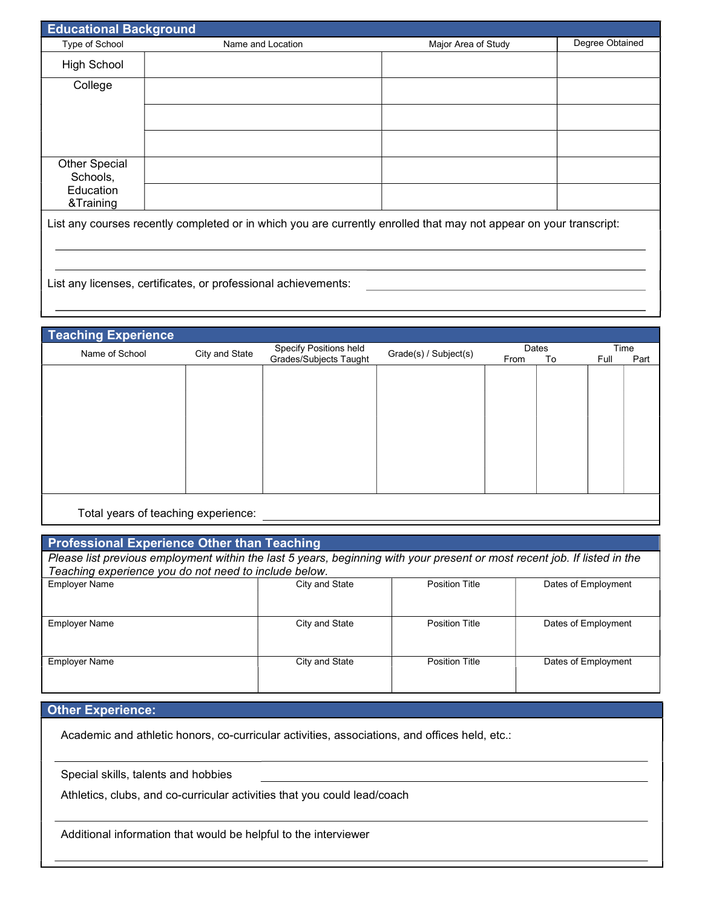| <b>Educational Background</b>    |                                                                                                                    |                     |                 |
|----------------------------------|--------------------------------------------------------------------------------------------------------------------|---------------------|-----------------|
| Type of School                   | Name and Location                                                                                                  | Major Area of Study | Degree Obtained |
| <b>High School</b>               |                                                                                                                    |                     |                 |
| College                          |                                                                                                                    |                     |                 |
|                                  |                                                                                                                    |                     |                 |
|                                  |                                                                                                                    |                     |                 |
| <b>Other Special</b><br>Schools, |                                                                                                                    |                     |                 |
| Education<br>&Training           |                                                                                                                    |                     |                 |
|                                  | List any courses recently completed or in which you are currently enrolled that may not appear on your transcript: |                     |                 |

## Teaching Experience

| <b>I GOVILLING LAPELIGIICE</b>      |                |                        |                       |       |    |      |      |
|-------------------------------------|----------------|------------------------|-----------------------|-------|----|------|------|
| Name of School                      | City and State | Specify Positions held | Grade(s) / Subject(s) | Dates |    | Time |      |
|                                     |                | Grades/Subjects Taught |                       | From  | To | Full | Part |
|                                     |                |                        |                       |       |    |      |      |
|                                     |                |                        |                       |       |    |      |      |
|                                     |                |                        |                       |       |    |      |      |
|                                     |                |                        |                       |       |    |      |      |
|                                     |                |                        |                       |       |    |      |      |
|                                     |                |                        |                       |       |    |      |      |
|                                     |                |                        |                       |       |    |      |      |
|                                     |                |                        |                       |       |    |      |      |
|                                     |                |                        |                       |       |    |      |      |
|                                     |                |                        |                       |       |    |      |      |
|                                     |                |                        |                       |       |    |      |      |
|                                     |                |                        |                       |       |    |      |      |
|                                     |                |                        |                       |       |    |      |      |
|                                     |                |                        |                       |       |    |      |      |
|                                     |                |                        |                       |       |    |      |      |
|                                     |                |                        |                       |       |    |      |      |
|                                     |                |                        |                       |       |    |      |      |
| Total years of teaching experience: |                |                        |                       |       |    |      |      |
|                                     |                |                        |                       |       |    |      |      |

**Total years of teaching experience.** 

## Professional Experience Other than Teaching

| Please list previous employment within the last 5 years, beginning with your present or most recent job. If listed in the |                |                       |                     |
|---------------------------------------------------------------------------------------------------------------------------|----------------|-----------------------|---------------------|
| Teaching experience you do not need to include below.                                                                     |                |                       |                     |
| <b>Employer Name</b>                                                                                                      | City and State | <b>Position Title</b> | Dates of Employment |
|                                                                                                                           |                |                       |                     |
|                                                                                                                           |                |                       |                     |
|                                                                                                                           |                |                       |                     |
| Employer Name                                                                                                             | City and State | <b>Position Title</b> | Dates of Employment |
|                                                                                                                           |                |                       |                     |
|                                                                                                                           |                |                       |                     |
|                                                                                                                           | City and State | <b>Position Title</b> | Dates of Employment |
| Employer Name                                                                                                             |                |                       |                     |
|                                                                                                                           |                |                       |                     |
|                                                                                                                           |                |                       |                     |

## **Other Experience:**

Academic and athletic honors, co-curricular activities, associations, and offices held, etc.:

Special skills, talents and hobbies

Athletics, clubs, and co-curricular activities that you could lead/coach

Additional information that would be helpful to the interviewer